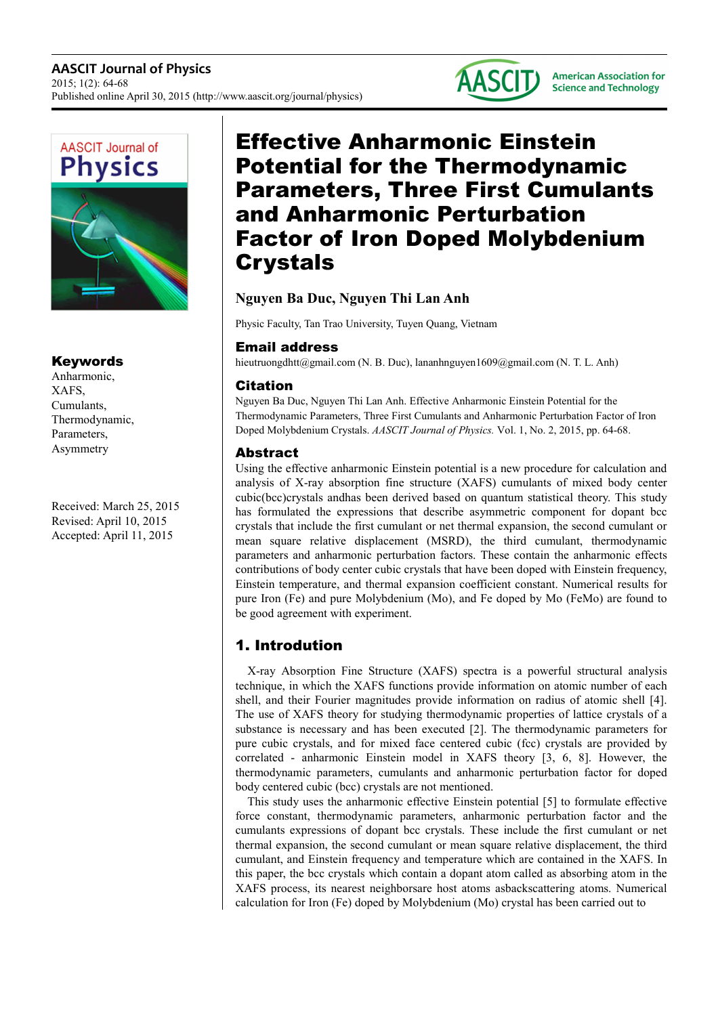



### Keywords

Anharmonic, XAFS, Cumulants, Thermodynamic, Parameters, Asymmetry

Received: March 25, 2015 Revised: April 10, 2015 Accepted: April 11, 2015

# Effective Anharmonic Einstein Potential for the Thermodynamic Parameters, Three First Cumulants and Anharmonic Perturbation Factor of Iron Doped Molybdenium Crystals

# **Nguyen Ba Duc, Nguyen Thi Lan Anh**

Physic Faculty, Tan Trao University, Tuyen Quang, Vietnam

# Email address

hieutruongdhtt@gmail.com (N. B. Duc), lananhnguyen1609@gmail.com (N. T. L. Anh)

# Citation

Nguyen Ba Duc, Nguyen Thi Lan Anh. Effective Anharmonic Einstein Potential for the Thermodynamic Parameters, Three First Cumulants and Anharmonic Perturbation Factor of Iron Doped Molybdenium Crystals. *AASCIT Journal of Physics.* Vol. 1, No. 2, 2015, pp. 64-68.

# Abstract

Using the effective anharmonic Einstein potential is a new procedure for calculation and analysis of X-ray absorption fine structure (XAFS) cumulants of mixed body center cubic(bcc)crystals andhas been derived based on quantum statistical theory. This study has formulated the expressions that describe asymmetric component for dopant bcc crystals that include the first cumulant or net thermal expansion, the second cumulant or mean square relative displacement (MSRD), the third cumulant, thermodynamic parameters and anharmonic perturbation factors. These contain the anharmonic effects contributions of body center cubic crystals that have been doped with Einstein frequency, Einstein temperature, and thermal expansion coefficient constant. Numerical results for pure Iron (Fe) and pure Molybdenium (Mo), and Fe doped by Mo (FeMo) are found to be good agreement with experiment.

# 1. Introdution

X-ray Absorption Fine Structure (XAFS) spectra is a powerful structural analysis technique, in which the XAFS functions provide information on atomic number of each shell, and their Fourier magnitudes provide information on radius of atomic shell [4]. The use of XAFS theory for studying thermodynamic properties of lattice crystals of a substance is necessary and has been executed [2]. The thermodynamic parameters for pure cubic crystals, and for mixed face centered cubic (fcc) crystals are provided by correlated - anharmonic Einstein model in XAFS theory [3, 6, 8]. However, the thermodynamic parameters, cumulants and anharmonic perturbation factor for doped body centered cubic (bcc) crystals are not mentioned.

This study uses the anharmonic effective Einstein potential [5] to formulate effective force constant, thermodynamic parameters, anharmonic perturbation factor and the cumulants expressions of dopant bcc crystals. These include the first cumulant or net thermal expansion, the second cumulant or mean square relative displacement, the third cumulant, and Einstein frequency and temperature which are contained in the XAFS. In this paper, the bcc crystals which contain a dopant atom called as absorbing atom in the XAFS process, its nearest neighborsare host atoms asbackscattering atoms. Numerical calculation for Iron (Fe) doped by Molybdenium (Mo) crystal has been carried out to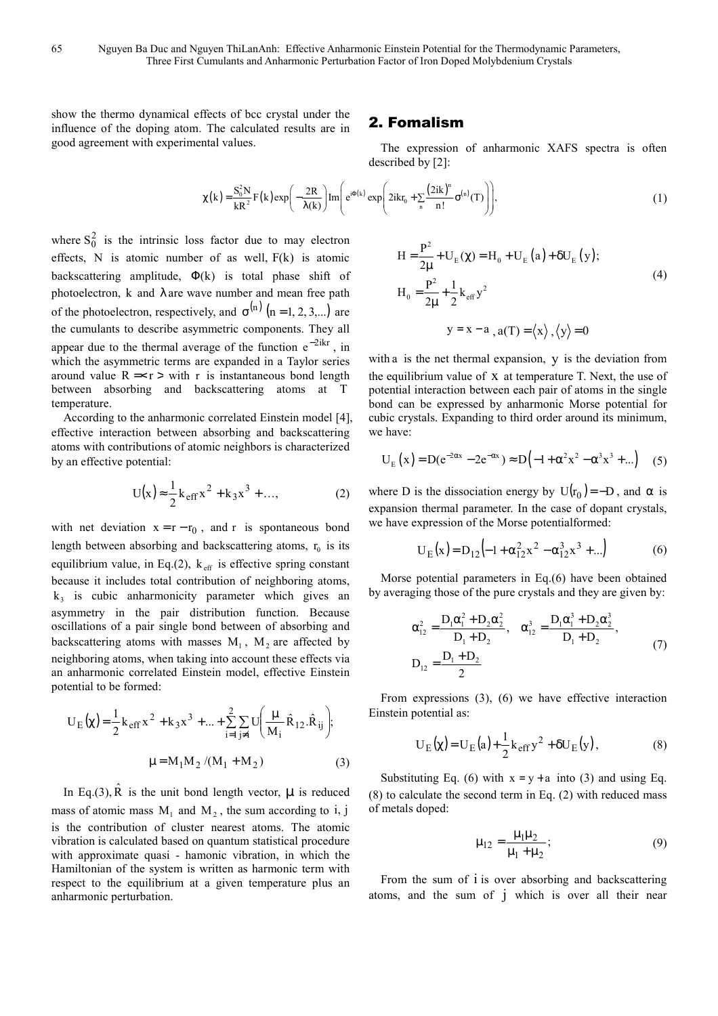show the thermo dynamical effects of bcc crystal under the influence of the doping atom. The calculated results are in good agreement with experimental values.

### 2. Fomalism

The expression of anharmonic XAFS spectra is often described by [2]:

$$
\chi(k) = \frac{S_0^2 N}{kR^2} F(k) \exp\left(-\frac{2R}{\lambda(k)}\right) Im\left(e^{i\Phi(k)} \exp\left(2ikr_0 + \sum_n \frac{(2ik)^n}{n!} \sigma^{(n)}(T)\right)\right),\tag{1}
$$

where  $S_0^2$  is the intrinsic loss factor due to may electron effects,  $N$  is atomic number of as well,  $F(k)$  is atomic backscattering amplitude,  $\Phi(k)$  is total phase shift of photoelectron, k and λ are wave number and mean free path of the photoelectron, respectively, and  $\sigma^{(n)}$  (n = 1, 2, 3,...) are the cumulants to describe asymmetric components. They all appear due to the thermal average of the function  $e^{-2ikr}$ , in which the asymmetric terms are expanded in a Taylor series around value  $R = r >$  with r is instantaneous bond length between absorbing and backscattering atoms at T temperature.

According to the anharmonic correlated Einstein model [4], effective interaction between absorbing and backscattering atoms with contributions of atomic neighbors is characterized by an effective potential:

$$
U(x) \approx \frac{1}{2} k_{eff} x^2 + k_3 x^3 + ..., \qquad (2)
$$

with net deviation  $x = r - r_0$ , and r is spontaneous bond length between absorbing and backscattering atoms,  $r_0$  is its equilibrium value, in Eq.(2),  $k_{\text{eff}}$  is effective spring constant because it includes total contribution of neighboring atoms,  $k_3$  is cubic anharmonicity parameter which gives an asymmetry in the pair distribution function. Because oscillations of a pair single bond between of absorbing and backscattering atoms with masses  $M_1$ ,  $M_2$  are affected by neighboring atoms, when taking into account these effects via an anharmonic correlated Einstein model, effective Einstein potential to be formed:

$$
U_{E}(\chi) = \frac{1}{2} k_{eff} x^{2} + k_{3} x^{3} + ... + \sum_{i=1}^{2} \sum_{j \neq i} U \left( \frac{\mu}{M_{i}} \hat{R}_{12} . \hat{R}_{ij} \right);
$$
  

$$
\mu = M_{1} M_{2} / (M_{1} + M_{2})
$$
(3)

In Eq.(3),  $\hat{R}$  is the unit bond length vector,  $\mu$  is reduced mass of atomic mass  $M_1$  and  $M_2$ , the sum according to i, j is the contribution of cluster nearest atoms. The atomic vibration is calculated based on quantum statistical procedure with approximate quasi - hamonic vibration, in which the Hamiltonian of the system is written as harmonic term with respect to the equilibrium at a given temperature plus an anharmonic perturbation.

$$
H = \frac{P^2}{2\mu} + U_E(\chi) = H_0 + U_E(a) + \delta U_E(y);
$$
  
\n
$$
H_0 = \frac{P^2}{2\mu} + \frac{1}{2}k_{eff}y^2
$$
  
\n
$$
y = x - a_{,a}(T) = \langle x \rangle, \langle y \rangle = 0
$$
\n(4)

with a is the net thermal expansion, y is the deviation from the equilibrium value of x at temperature T. Next, the use of potential interaction between each pair of atoms in the single bond can be expressed by anharmonic Morse potential for cubic crystals. Expanding to third order around its minimum, we have:

$$
U_{E}(x) = D(e^{-2\alpha x} - 2e^{-\alpha x}) \approx D(-1 + \alpha^{2} x^{2} - \alpha^{3} x^{3} + ...)
$$
 (5)

where D is the dissociation energy by  $U(r_0) = -D$ , and  $\alpha$  is expansion thermal parameter. In the case of dopant crystals, we have expression of the Morse potentialformed:

$$
U_{E}(x) = D_{12} \left( -1 + \alpha_{12}^{2} x^{2} - \alpha_{12}^{3} x^{3} + ... \right)
$$
 (6)

Morse potential parameters in Eq.(6) have been obtained by averaging those of the pure crystals and they are given by:

$$
\alpha_{12}^2 = \frac{D_1 \alpha_1^2 + D_2 \alpha_2^2}{D_1 + D_2}, \quad \alpha_{12}^3 = \frac{D_1 \alpha_1^3 + D_2 \alpha_2^3}{D_1 + D_2},
$$
  
\n
$$
D_{12} = \frac{D_1 + D_2}{2}
$$
 (7)

From expressions (3), (6) we have effective interaction Einstein potential as:

$$
U_E(\chi) = U_E(a) + \frac{1}{2}k_{eff}y^2 + \delta U_E(y)
$$
, (8)

Substituting Eq. (6) with  $x = y + a$  into (3) and using Eq. (8) to calculate the second term in Eq. (2) with reduced mass of metals doped:

$$
\mu_{12} = \frac{\mu_1 \mu_2}{\mu_1 + \mu_2};\tag{9}
$$

From the sum of i is over absorbing and backscattering atoms, and the sum of j which is over all their near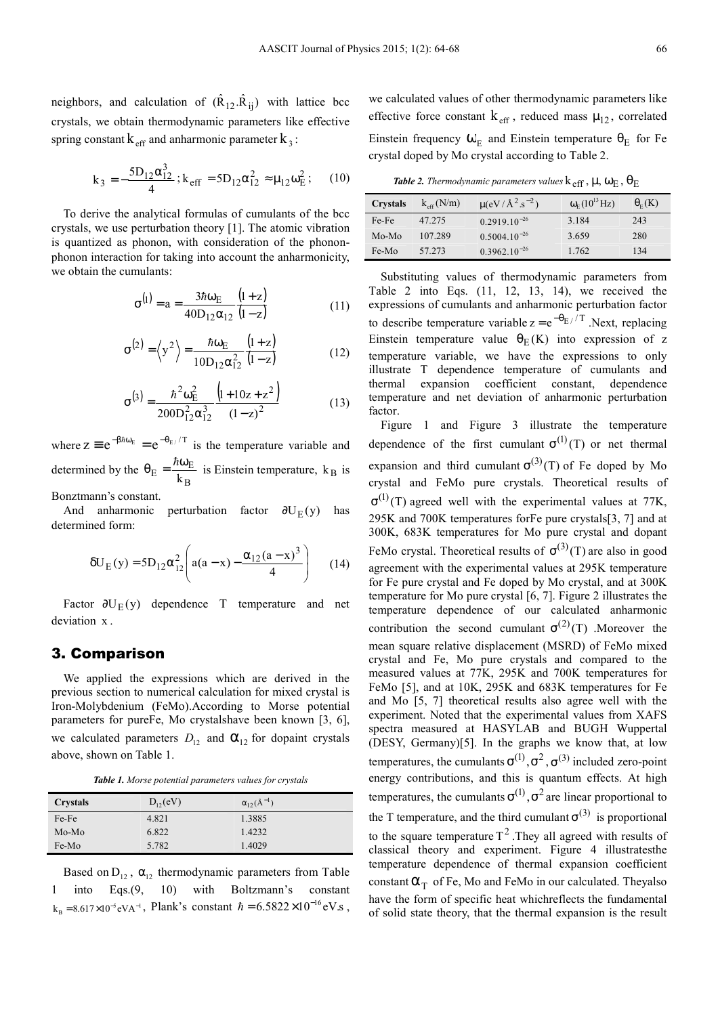neighbors, and calculation of  $(\hat{R}_{12}, \hat{R}_{ij})$  with lattice bcc crystals, we obtain thermodynamic parameters like effective spring constant  $k_{\text{eff}}$  and anharmonic parameter  $k_3$ :

$$
k_3 = -\frac{5D_{12}\alpha_{12}^3}{4}
$$
;  $k_{eff} = 5D_{12}\alpha_{12}^2 \approx \mu_{12}\omega_E^2$ ; (10)

To derive the analytical formulas of cumulants of the bcc crystals, we use perturbation theory [1]. The atomic vibration is quantized as phonon, with consideration of the phononphonon interaction for taking into account the anharmonicity, we obtain the cumulants:

$$
\sigma^{(1)} = a = \frac{3\hbar\omega_{\rm E}}{40D_{12}\alpha_{12}} \frac{(1+z)}{(1-z)}
$$
(11)

$$
\sigma^{(2)} = \left\langle y^2 \right\rangle = \frac{\hbar \omega_E}{10 D_{12} \alpha_{12}^2} \frac{(1+z)}{(1-z)}
$$
(12)

$$
\sigma^{(3)} = \frac{\hbar^2 \omega_{\rm E}^2}{200 \,\Omega_{12}^2 \alpha_{12}^3} \frac{\left(1 + 10 z + z^2\right)}{\left(1 - z\right)^2} \tag{13}
$$

where  $z \equiv e^{-\beta \hbar \omega_E} = e^{-\theta_E / T}$  is the temperature variable and determined by the B  $E = \frac{n\omega_E}{k_B}$  $\theta_{\rm E} = \frac{\hbar \omega}{4}$  $\hbar$ is Einstein temperature,  $k_B$  is

Bonztmann's constant.

And anharmonic perturbation factor  $\partial U_E(y)$  has determined form:

$$
\delta U_{E}(y) = 5D_{12}\alpha_{12}^{2} \left( a(a-x) - \frac{\alpha_{12}(a-x)^{3}}{4} \right) \quad (14)
$$

Factor  $\partial U_E(y)$  dependence T temperature and net deviation x .

### 3. Comparison

We applied the expressions which are derived in the previous section to numerical calculation for mixed crystal is Iron-Molybdenium (FeMo).According to Morse potential parameters for pureFe, Mo crystalshave been known [3, 6], we calculated parameters  $D_{12}$  and  $\alpha_{12}$  for dopaint crystals above, shown on Table 1.

*Table 1. Morse potential parameters values for crystals* 

| <b>Crystals</b> | $D_{12}(eV)$ | $\alpha_{12}(\text{\AA}^{-1})$ |
|-----------------|--------------|--------------------------------|
| Fe-Fe           | 4.821        | 1.3885                         |
| Mo-Mo           | 6.822        | 1.4232                         |
| Fe-Mo           | 5.782        | 1.4029                         |

Based on  $D_{12}$ ,  $\alpha_{12}$  thermodynamic parameters from Table 1 into Eqs.(9, 10) with Boltzmann's constant  $k_B = 8.617 \times 10^{-5} eVA^{-1}$ , Plank's constant  $\hbar = 6.5822 \times 10^{-16} eV$ .s, we calculated values of other thermodynamic parameters like effective force constant  $k_{\text{eff}}$ , reduced mass  $\mu_{12}$ , correlated Einstein frequency  $\omega_{\rm E}$  and Einstein temperature  $\theta_{\rm E}$  for Fe crystal doped by Mo crystal according to Table 2.

*Table 2. Thermodynamic parameters values* $k_{\text{eff}}$  **,**  $\mu$ **,**  $\omega_{\text{E}}$  **,**  $\theta_{\text{E}}$ 

| Crystals | $k_{\text{eff}}$ (N/m) | $\mu (eV/A^2.s^{-2})$ | $\omega_{\rm E} (10^{13} \text{ Hz})$ | $\theta_{E}(\text{K})$ |
|----------|------------------------|-----------------------|---------------------------------------|------------------------|
| Fe-Fe    | 47.275                 | $0.2919.10^{-26}$     | 3.184                                 | 243                    |
| Mo-Mo    | 107.289                | $0.5004.10^{-26}$     | 3.659                                 | 280                    |
| Fe-Mo    | 57.273                 | $0.3962.10^{-26}$     | 1.762                                 | 134                    |

Substituting values of thermodynamic parameters from Table 2 into Eqs. (11, 12, 13, 14), we received the expressions of cumulants and anharmonic perturbation factor to describe temperature variable  $z = e^{-\theta E//T}$ . Next, replacing Einstein temperature value  $\theta$ <sub>E</sub>(K) into expression of z temperature variable, we have the expressions to only illustrate T dependence temperature of cumulants and thermal expansion coefficient constant, dependence temperature and net deviation of anharmonic perturbation factor.

Figure 1 and Figure 3 illustrate the temperature dependence of the first cumulant  $\sigma^{(1)}(T)$  or net thermal expansion and third cumulant  $\sigma^{(3)}(T)$  of Fe doped by Mo crystal and FeMo pure crystals. Theoretical results of  $\sigma^{(1)}(T)$  agreed well with the experimental values at 77K, 295K and 700K temperatures forFe pure crystals[3, 7] and at 300K, 683K temperatures for Mo pure crystal and dopant FeMo crystal. Theoretical results of  $\sigma^{(3)}(T)$  are also in good agreement with the experimental values at 295K temperature for Fe pure crystal and Fe doped by Mo crystal, and at 300K temperature for Mo pure crystal [6, 7]. Figure 2 illustrates the temperature dependence of our calculated anharmonic contribution the second cumulant  $\sigma^{(2)}(T)$  .Moreover the mean square relative displacement (MSRD) of FeMo mixed crystal and Fe, Mo pure crystals and compared to the measured values at 77K, 295K and 700K temperatures for FeMo [5], and at 10K, 295K and 683K temperatures for Fe and Mo [5, 7] theoretical results also agree well with the experiment. Noted that the experimental values from XAFS spectra measured at HASYLAB and BUGH Wuppertal (DESY, Germany)[5]. In the graphs we know that, at low temperatures, the cumulants  $\sigma^{(1)}, \sigma^2, \sigma^{(3)}$  included zero-point energy contributions, and this is quantum effects. At high temperatures, the cumulants  $\sigma^{(1)}$ ,  $\sigma^2$  are linear proportional to the T temperature, and the third cumulant  $\sigma^{(3)}$  is proportional to the square temperature  $T^2$ . They all agreed with results of classical theory and experiment. Figure 4 illustratesthe temperature dependence of thermal expansion coefficient constant  $\alpha_T$  of Fe, Mo and FeMo in our calculated. Theyalso have the form of specific heat whichreflects the fundamental of solid state theory, that the thermal expansion is the result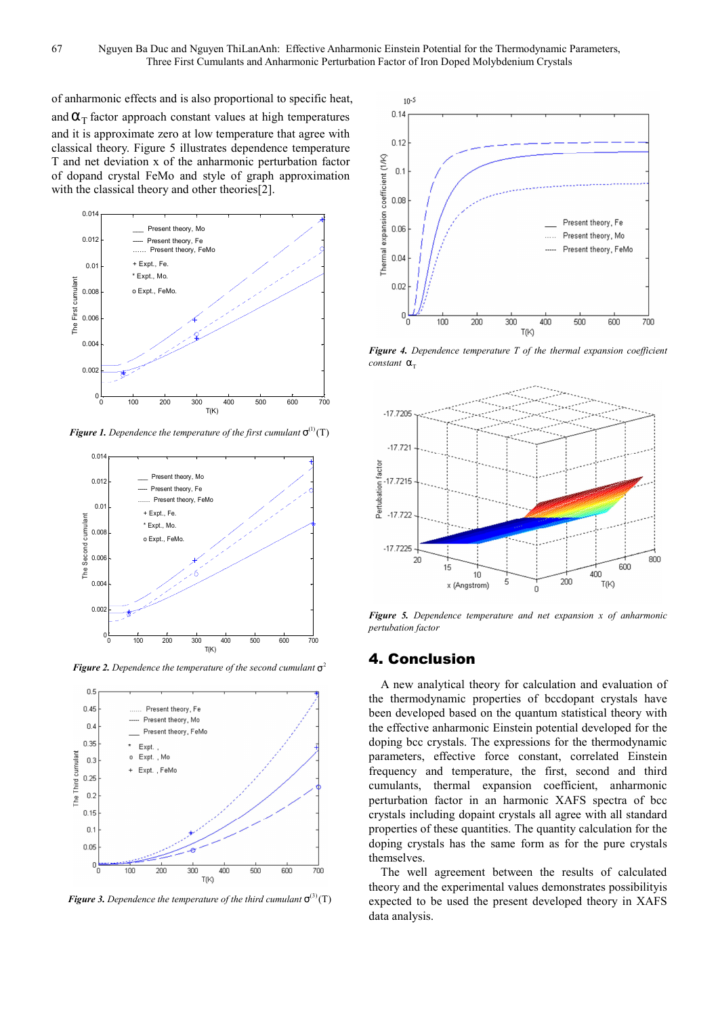of anharmonic effects and is also proportional to specific heat, and  $\alpha_{\rm T}$  factor approach constant values at high temperatures and it is approximate zero at low temperature that agree with classical theory. Figure 5 illustrates dependence temperature T and net deviation x of the anharmonic perturbation factor of dopand crystal FeMo and style of graph approximation with the classical theory and other theories[2].



*Figure 1. Dependence the temperature of the first cumulant* $\sigma^{(1)}(T)$ 



*Figure 2. Dependence the temperature of the second cumulant* $\sigma^2$ 



*Figure 3. Dependence the temperature of the third cumulant*  $\sigma^{(3)}(T)$ 



*Figure 4. Dependence temperature T of the thermal expansion coefficient constant* α<sub>τ</sub>



*Figure 5. Dependence temperature and net expansion x of anharmonic pertubation factor* 

### 4. Conclusion

A new analytical theory for calculation and evaluation of the thermodynamic properties of bccdopant crystals have been developed based on the quantum statistical theory with the effective anharmonic Einstein potential developed for the doping bcc crystals. The expressions for the thermodynamic parameters, effective force constant, correlated Einstein frequency and temperature, the first, second and third cumulants, thermal expansion coefficient, anharmonic perturbation factor in an harmonic XAFS spectra of bcc crystals including dopaint crystals all agree with all standard properties of these quantities. The quantity calculation for the doping crystals has the same form as for the pure crystals themselves.

The well agreement between the results of calculated theory and the experimental values demonstrates possibilityis expected to be used the present developed theory in XAFS data analysis.